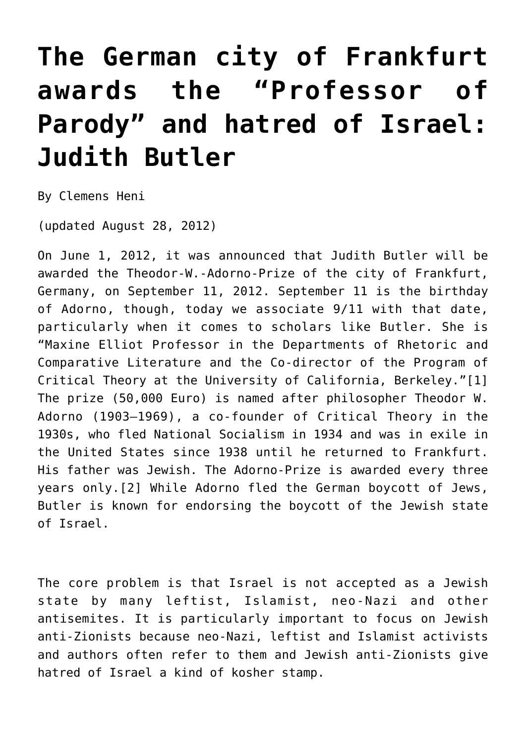## **[The German city of Frankfurt](https://www.clemensheni.net/the-german-city-of-frankfurt-awards-the-professor-of-parody-and-hatred-of-israel-judith-butler/) [awards the "Professor of](https://www.clemensheni.net/the-german-city-of-frankfurt-awards-the-professor-of-parody-and-hatred-of-israel-judith-butler/) [Parody" and hatred of Israel:](https://www.clemensheni.net/the-german-city-of-frankfurt-awards-the-professor-of-parody-and-hatred-of-israel-judith-butler/) [Judith Butler](https://www.clemensheni.net/the-german-city-of-frankfurt-awards-the-professor-of-parody-and-hatred-of-israel-judith-butler/)**

By Clemens Heni

(updated August 28, 2012)

On June 1, 2012, it was announced that Judith Butler will be awarded the Theodor-W.-Adorno-Prize of the city of Frankfurt, Germany, on September 11, 2012. September 11 is the birthday of Adorno, though, today we associate 9/11 with that date, particularly when it comes to scholars like Butler. She is "Maxine Elliot Professor in the Departments of Rhetoric and Comparative Literature and the Co-director of the Program of Critical Theory at the University of California, Berkeley.["\[1\]](#page--1-0) The prize (50,000 Euro) is named after philosopher Theodor W. Adorno (1903–1969), a co-founder of Critical Theory in the 1930s, who fled National Socialism in 1934 and was in exile in the United States since 1938 until he returned to Frankfurt. His father was Jewish. The Adorno-Prize is awarded every three years only.[\[2\]](#page--1-0) While Adorno fled the German boycott of Jews, Butler is known for endorsing the boycott of the Jewish state of Israel.

The core problem is that Israel is not accepted as a Jewish state by many leftist, Islamist, neo-Nazi and other antisemites. It is particularly important to focus on Jewish anti-Zionists because neo-Nazi, leftist and Islamist activists and authors often refer to them and Jewish anti-Zionists give hatred of Israel a kind of kosher stamp.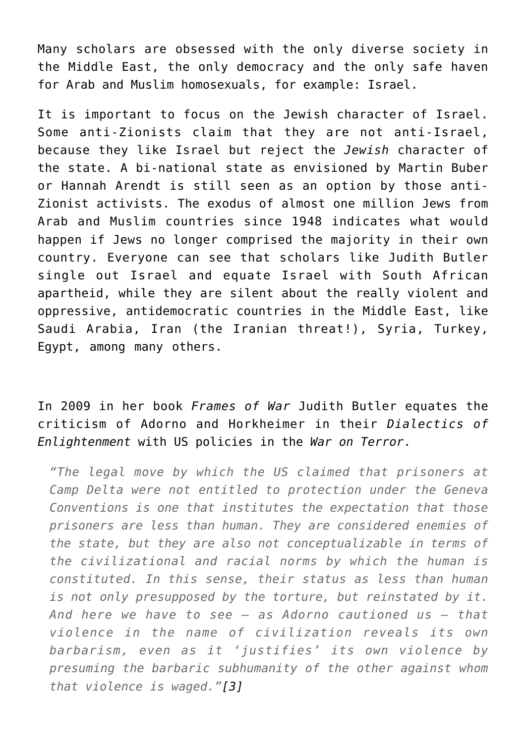Many scholars are obsessed with the only diverse society in the Middle East, the only democracy and the only safe haven for Arab and Muslim homosexuals, for example: Israel.

It is important to focus on the Jewish character of Israel. Some anti-Zionists claim that they are not anti-Israel, because they like Israel but reject the *Jewish* character of the state. A bi-national state as envisioned by Martin Buber or Hannah Arendt is still seen as an option by those anti-Zionist activists. The exodus of almost one million Jews from Arab and Muslim countries since 1948 indicates what would happen if Jews no longer comprised the majority in their own country. Everyone can see that scholars like Judith Butler single out Israel and equate Israel with South African apartheid, while they are silent about the really violent and oppressive, antidemocratic countries in the Middle East, like Saudi Arabia, Iran (the Iranian threat!), Syria, Turkey, Egypt, among many others.

In 2009 in her book *Frames of War* Judith Butler equates the criticism of Adorno and Horkheimer in their *Dialectics of Enlightenment* with US policies in the *War on Terror*.

*"The legal move by which the US claimed that prisoners at Camp Delta were not entitled to protection under the Geneva Conventions is one that institutes the expectation that those prisoners are less than human. They are considered enemies of the state, but they are also not conceptualizable in terms of the civilizational and racial norms by which the human is constituted. In this sense, their status as less than human is not only presupposed by the torture, but reinstated by it. And here we have to see – as Adorno cautioned us – that violence in the name of civilization reveals its own barbarism, even as it 'justifies' its own violence by presuming the barbaric subhumanity of the other against whom that violence is waged.["\[3\]](#page--1-0)*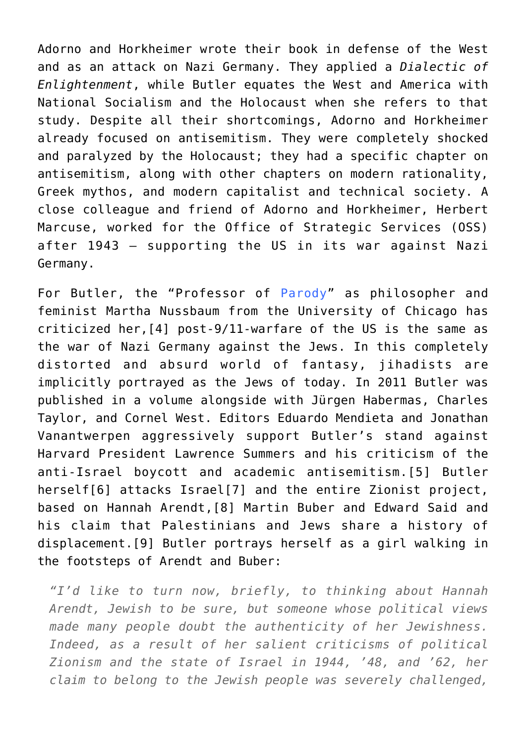Adorno and Horkheimer wrote their book in defense of the West and as an attack on Nazi Germany. They applied a *Dialectic of Enlightenment*, while Butler equates the West and America with National Socialism and the Holocaust when she refers to that study. Despite all their shortcomings, Adorno and Horkheimer already focused on antisemitism. They were completely shocked and paralyzed by the Holocaust; they had a specific chapter on antisemitism, along with other chapters on modern rationality, Greek mythos, and modern capitalist and technical society. A close colleague and friend of Adorno and Horkheimer, Herbert Marcuse, worked for the Office of Strategic Services (OSS) after 1943 – supporting the US in its war against Nazi Germany.

For Butler, the "Professor of [Parody"](http://frontpagemag.com/2012/bruce-bawer/the-fraud-of-identity-studies/#comments) as philosopher and feminist Martha Nussbaum from the University of Chicago has criticized her[,\[4\]](#page--1-0) post-9/11-warfare of the US is the same as the war of Nazi Germany against the Jews. In this completely distorted and absurd world of fantasy, jihadists are implicitly portrayed as the Jews of today. In 2011 Butler was published in a volume alongside with Jürgen Habermas, Charles Taylor, and Cornel West. Editors Eduardo Mendieta and Jonathan Vanantwerpen aggressively support Butler's stand against Harvard President Lawrence Summers and his criticism of the anti-Israel boycott and academic antisemitism.[\[5\]](#page--1-0) Butler herself[\[6\]](#page--1-0) attacks Israe[l\[7\]](#page--1-0) and the entire Zionist project, based on Hannah Arendt,[\[8\]](#page--1-0) Martin Buber and Edward Said and his claim that Palestinians and Jews share a history of displacement[.\[9\]](#page--1-0) Butler portrays herself as a girl walking in the footsteps of Arendt and Buber:

*"I'd like to turn now, briefly, to thinking about Hannah Arendt, Jewish to be sure, but someone whose political views made many people doubt the authenticity of her Jewishness. Indeed, as a result of her salient criticisms of political Zionism and the state of Israel in 1944, '48, and '62, her claim to belong to the Jewish people was severely challenged,*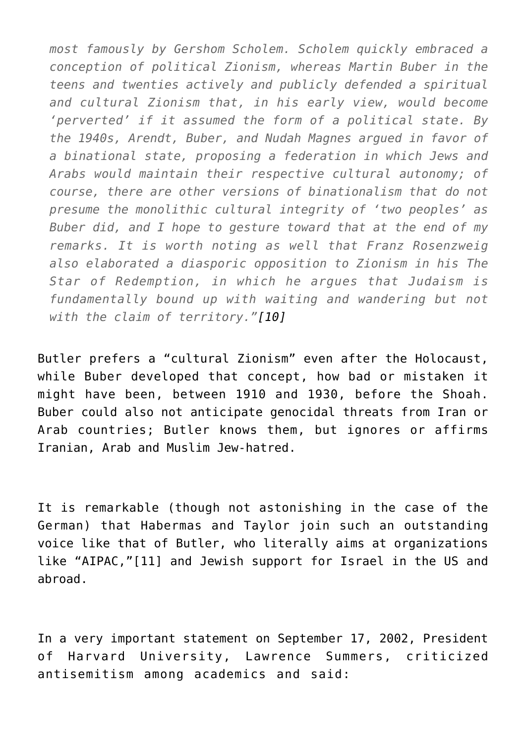*most famously by Gershom Scholem. Scholem quickly embraced a conception of political Zionism, whereas Martin Buber in the teens and twenties actively and publicly defended a spiritual and cultural Zionism that, in his early view, would become 'perverted' if it assumed the form of a political state. By the 1940s, Arendt, Buber, and Nudah Magnes argued in favor of a binational state, proposing a federation in which Jews and Arabs would maintain their respective cultural autonomy; of course, there are other versions of binationalism that do not presume the monolithic cultural integrity of 'two peoples' as Buber did, and I hope to gesture toward that at the end of my remarks. It is worth noting as well that Franz Rosenzweig also elaborated a diasporic opposition to Zionism in his The Star of Redemption, in which he argues that Judaism is fundamentally bound up with waiting and wandering but not with the claim of territory."[\[10\]](#page--1-0)*

Butler prefers a "cultural Zionism" even after the Holocaust, while Buber developed that concept, how bad or mistaken it might have been, between 1910 and 1930, before the Shoah. Buber could also not anticipate genocidal threats from Iran or Arab countries; Butler knows them, but ignores or affirms Iranian, Arab and Muslim Jew-hatred.

It is remarkable (though not astonishing in the case of the German) that Habermas and Taylor join such an outstanding voice like that of Butler, who literally aims at organizations like "AIPAC,"[\[11\]](#page--1-0) and Jewish support for Israel in the US and abroad.

In a very important statement on September 17, 2002, President of Harvard University, Lawrence Summers, criticized antisemitism among academics and said: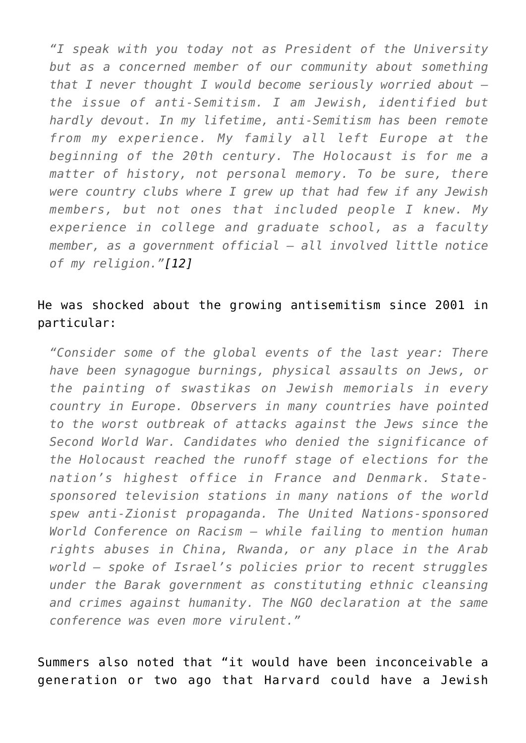*"I speak with you today not as President of the University but as a concerned member of our community about something that I never thought I would become seriously worried about the issue of anti-Semitism. I am Jewish, identified but hardly devout. In my lifetime, anti-Semitism has been remote from my experience. My family all left Europe at the beginning of the 20th century. The Holocaust is for me a matter of history, not personal memory. To be sure, there were country clubs where I grew up that had few if any Jewish members, but not ones that included people I knew. My experience in college and graduate school, as a faculty member, as a government official – all involved little notice of my religion.["\[12\]](#page--1-0)*

## He was shocked about the growing antisemitism since 2001 in particular:

*"Consider some of the global events of the last year: There have been synagogue burnings, physical assaults on Jews, or the painting of swastikas on Jewish memorials in every country in Europe. Observers in many countries have pointed to the worst outbreak of attacks against the Jews since the Second World War. Candidates who denied the significance of the Holocaust reached the runoff stage of elections for the nation's highest office in France and Denmark. Statesponsored television stations in many nations of the world spew anti-Zionist propaganda. The United Nations-sponsored World Conference on Racism – while failing to mention human rights abuses in China, Rwanda, or any place in the Arab world – spoke of Israel's policies prior to recent struggles under the Barak government as constituting ethnic cleansing and crimes against humanity. The NGO declaration at the same conference was even more virulent."*

Summers also noted that "it would have been inconceivable a generation or two ago that Harvard could have a Jewish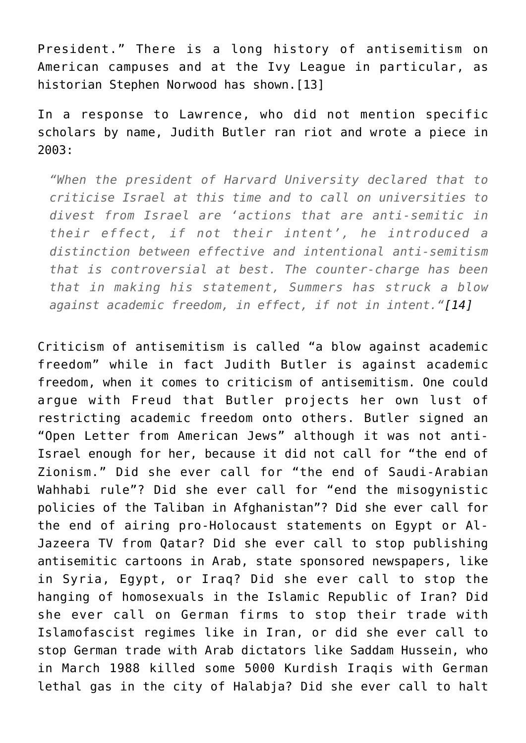President." There is a long history of antisemitism on American campuses and at the Ivy League in particular, as historian Stephen Norwood has shown. [13]

In a response to Lawrence, who did not mention specific scholars by name, Judith Butler ran riot and wrote a piece in 2003:

*"When the president of Harvard University declared that to criticise Israel at this time and to call on universities to divest from Israel are 'actions that are anti-semitic in their effect, if not their intent', he introduced a distinction between effective and intentional anti-semitism that is controversial at best. The counter-charge has been that in making his statement, Summers has struck a blow against academic freedom, in effect, if not in intent.["\[14\]](#page--1-0)*

Criticism of antisemitism is called "a blow against academic freedom" while in fact Judith Butler is against academic freedom, when it comes to criticism of antisemitism. One could argue with Freud that Butler projects her own lust of restricting academic freedom onto others. Butler signed an "Open Letter from American Jews" although it was not anti-Israel enough for her, because it did not call for "the end of Zionism." Did she ever call for "the end of Saudi-Arabian Wahhabi rule"? Did she ever call for "end the misogynistic policies of the Taliban in Afghanistan"? Did she ever call for the end of airing pro-Holocaust statements on Egypt or Al-Jazeera TV from Qatar? Did she ever call to stop publishing antisemitic cartoons in Arab, state sponsored newspapers, like in Syria, Egypt, or Iraq? Did she ever call to stop the hanging of homosexuals in the Islamic Republic of Iran? Did she ever call on German firms to stop their trade with Islamofascist regimes like in Iran, or did she ever call to stop German trade with Arab dictators like Saddam Hussein, who in March 1988 killed some 5000 Kurdish Iraqis with German lethal gas in the city of Halabja? Did she ever call to halt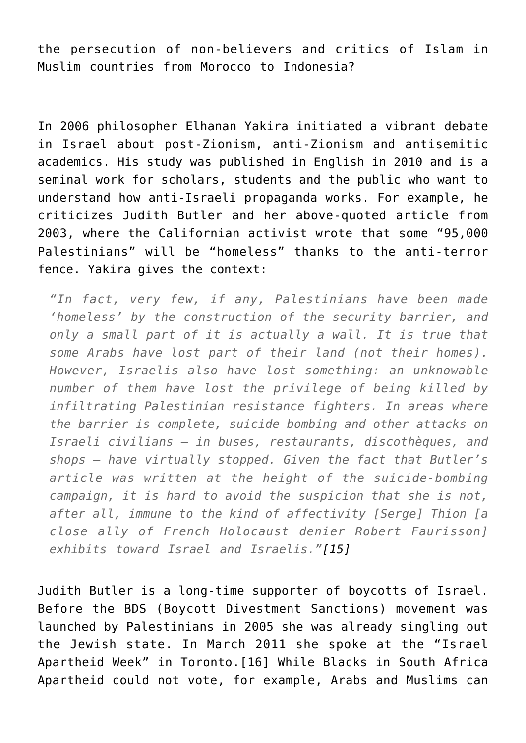the persecution of non-believers and critics of Islam in Muslim countries from Morocco to Indonesia?

In 2006 philosopher Elhanan Yakira initiated a vibrant debate in Israel about post-Zionism, anti-Zionism and antisemitic academics. His study was published in English in 2010 and is a seminal work for scholars, students and the public who want to understand how anti-Israeli propaganda works. For example, he criticizes Judith Butler and her above-quoted article from 2003, where the Californian activist wrote that some "95,000 Palestinians" will be "homeless" thanks to the anti-terror fence. Yakira gives the context:

*"In fact, very few, if any, Palestinians have been made 'homeless' by the construction of the security barrier, and only a small part of it is actually a wall. It is true that some Arabs have lost part of their land (not their homes). However, Israelis also have lost something: an unknowable number of them have lost the privilege of being killed by infiltrating Palestinian resistance fighters. In areas where the barrier is complete, suicide bombing and other attacks on Israeli civilians – in buses, restaurants, discothèques, and shops – have virtually stopped. Given the fact that Butler's article was written at the height of the suicide-bombing campaign, it is hard to avoid the suspicion that she is not, after all, immune to the kind of affectivity [Serge] Thion [a close ally of French Holocaust denier Robert Faurisson] exhibits toward Israel and Israelis."[\[15\]](#page--1-0)*

Judith Butler is a long-time supporter of boycotts of Israel. Before the BDS (Boycott Divestment Sanctions) movement was launched by Palestinians in 2005 she was already singling out the Jewish state. In March 2011 she spoke at the "Israel Apartheid Week" in Toronto.[\[16\]](#page--1-0) While Blacks in South Africa Apartheid could not vote, for example, Arabs and Muslims can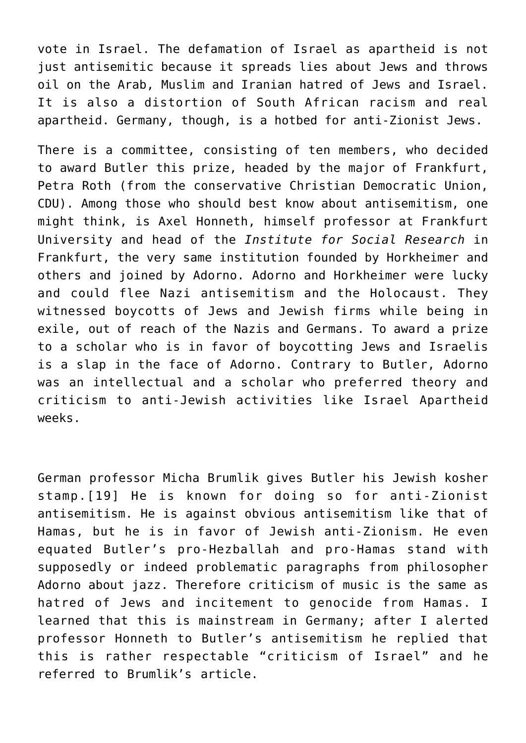vote in Israel. The defamation of Israel as apartheid is not just antisemitic because it spreads lies about Jews and throws oil on the Arab, Muslim and Iranian hatred of Jews and Israel. It is also a distortion of South African racism and real apartheid. Germany, though, is a hotbed for anti-Zionist Jews.

There is a committee, consisting of ten members, who decided to award Butler this prize, headed by the major of Frankfurt, Petra Roth (from the conservative Christian Democratic Union, CDU). Among those who should best know about antisemitism, one might think, is Axel Honneth, himself professor at Frankfurt University and head of the *Institute for Social Research* in Frankfurt, the very same institution founded by Horkheimer and others and joined by Adorno. Adorno and Horkheimer were lucky and could flee Nazi antisemitism and the Holocaust. They witnessed boycotts of Jews and Jewish firms while being in exile, out of reach of the Nazis and Germans. To award a prize to a scholar who is in favor of boycotting Jews and Israelis is a slap in the face of Adorno. Contrary to Butler, Adorno was an intellectual and a scholar who preferred theory and criticism to anti-Jewish activities like Israel Apartheid weeks.

German professor Micha Brumlik gives Butler his Jewish kosher stamp.[\[19\]](#page--1-0) He is known for doing so for anti-Zionist antisemitism. He is against obvious antisemitism like that of Hamas, but he is in favor of Jewish anti-Zionism. He even equated Butler's pro-Hezballah and pro-Hamas stand with supposedly or indeed problematic paragraphs from philosopher Adorno about jazz. Therefore criticism of music is the same as hatred of Jews and incitement to genocide from Hamas. I learned that this is mainstream in Germany; after I alerted professor Honneth to Butler's antisemitism he replied that this is rather respectable "criticism of Israel" and he referred to Brumlik's article.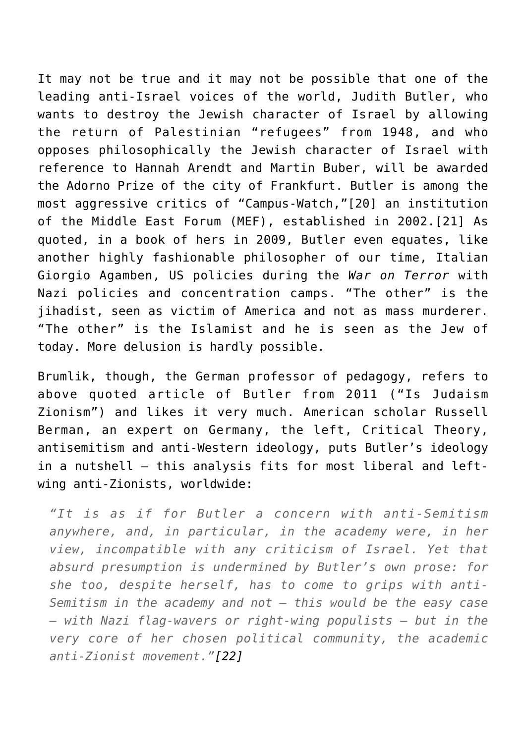It may not be true and it may not be possible that one of the leading anti-Israel voices of the world, Judith Butler, who wants to destroy the Jewish character of Israel by allowing the return of Palestinian "refugees" from 1948, and who opposes philosophically the Jewish character of Israel with reference to Hannah Arendt and Martin Buber, will be awarded the Adorno Prize of the city of Frankfurt. Butler is among the most aggressive critics of "Campus-Watch,"[\[20\]](#page--1-0) an institution of the Middle East Forum (MEF), established in 2002.[\[21\]](#page--1-0) As quoted, in a book of hers in 2009, Butler even equates, like another highly fashionable philosopher of our time, Italian Giorgio Agamben, US policies during the *War on Terror* with Nazi policies and concentration camps. "The other" is the iihadist, seen as victim of America and not as mass murderer. "The other" is the Islamist and he is seen as the Jew of today. More delusion is hardly possible.

Brumlik, though, the German professor of pedagogy, refers to above quoted article of Butler from 2011 ("Is Judaism Zionism") and likes it very much. American scholar Russell Berman, an expert on Germany, the left, Critical Theory, antisemitism and anti-Western ideology, puts Butler's ideology in a nutshell – this analysis fits for most liberal and leftwing anti-Zionists, worldwide:

*"It is as if for Butler a concern with anti-Semitism anywhere, and, in particular, in the academy were, in her view, incompatible with any criticism of Israel. Yet that absurd presumption is undermined by Butler's own prose: for she too, despite herself, has to come to grips with anti-Semitism in the academy and not – this would be the easy case – with Nazi flag-wavers or right-wing populists – but in the very core of her chosen political community, the academic anti-Zionist movement."[\[22\]](#page--1-0)*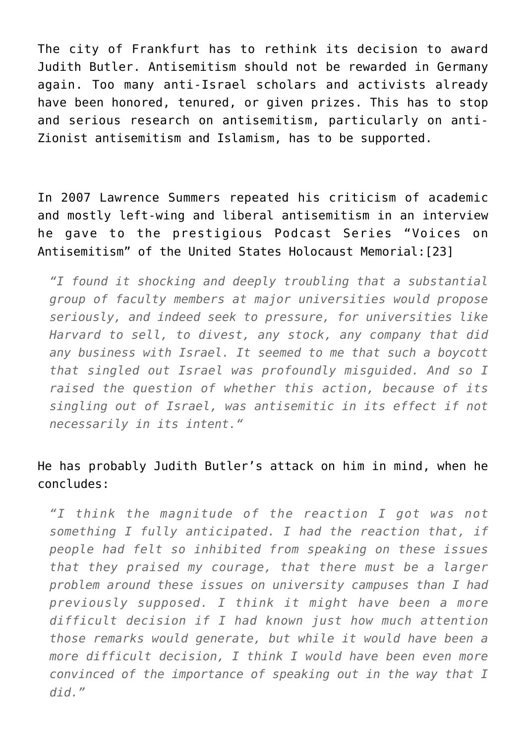The city of Frankfurt has to rethink its decision to award Judith Butler. Antisemitism should not be rewarded in Germany again. Too many anti-Israel scholars and activists already have been honored, tenured, or given prizes. This has to stop and serious research on antisemitism, particularly on anti-Zionist antisemitism and Islamism, has to be supported.

In 2007 Lawrence Summers repeated his criticism of academic and mostly left-wing and liberal antisemitism in an interview he gave to the prestigious Podcast Series "Voices on Antisemitism" of the United States Holocaust Memorial[:\[23\]](#page--1-0)

*"I found it shocking and deeply troubling that a substantial group of faculty members at major universities would propose seriously, and indeed seek to pressure, for universities like Harvard to sell, to divest, any stock, any company that did any business with Israel. It seemed to me that such a boycott that singled out Israel was profoundly misguided. And so I raised the question of whether this action, because of its singling out of Israel, was antisemitic in its effect if not necessarily in its intent."*

## He has probably Judith Butler's attack on him in mind, when he concludes:

*"I think the magnitude of the reaction I got was not something I fully anticipated. I had the reaction that, if people had felt so inhibited from speaking on these issues that they praised my courage, that there must be a larger problem around these issues on university campuses than I had previously supposed. I think it might have been a more difficult decision if I had known just how much attention those remarks would generate, but while it would have been a more difficult decision, I think I would have been even more convinced of the importance of speaking out in the way that I did."*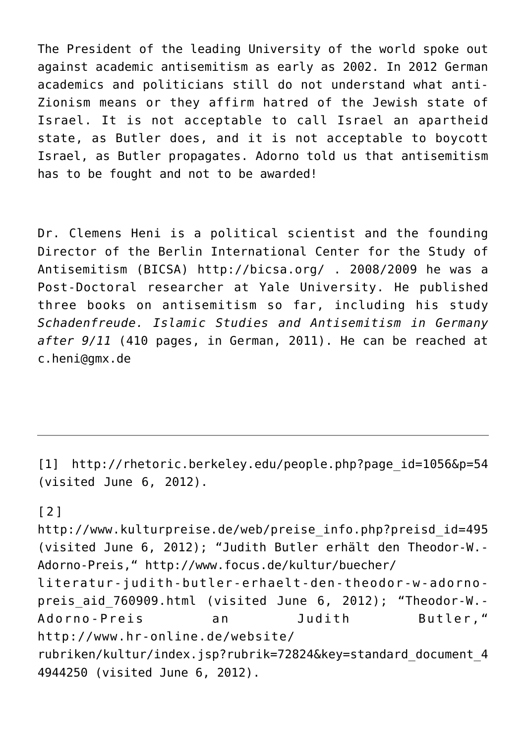The President of the leading University of the world spoke out against academic antisemitism as early as 2002. In 2012 German academics and politicians still do not understand what anti-Zionism means or they affirm hatred of the Jewish state of Israel. It is not acceptable to call Israel an apartheid state, as Butler does, and it is not acceptable to boycott Israel, as Butler propagates. Adorno told us that antisemitism has to be fought and not to be awarded!

Dr. Clemens Heni is a political scientist and the founding Director of the Berlin International Center for the Study of Antisemitism (BICSA) <http://bicsa.org/> . 2008/2009 he was a Post-Doctoral researcher at Yale University. He published three books on antisemitism so far, including his study *Schadenfreude. Islamic Studies and Antisemitism in Germany after 9/11* (410 pages, in German, 2011). He can be reached at c.heni@gmx.de

[\[1\]](#page--1-0) http://rhetoric.berkeley.edu/people.php?page\_id=1056&p=54 (visited June 6, 2012).

## [\[2\]](#page--1-0)

http://www.kulturpreise.de/web/preise\_info.php?preisd\_id=495 (visited June 6, 2012); "Judith Butler erhält den Theodor-W.- Adorno-Preis," http://www.focus.de/kultur/buecher/ literatur-judith-butler-erhaelt-den-theodor-w-adornopreis aid 760909.html (visited June 6, 2012); "Theodor-W.-Adorno-Preis an Judith Butler," http://www.hr-online.de/website/ rubriken/kultur/index.jsp?rubrik=72824&key=standard\_document\_4 4944250 (visited June 6, 2012).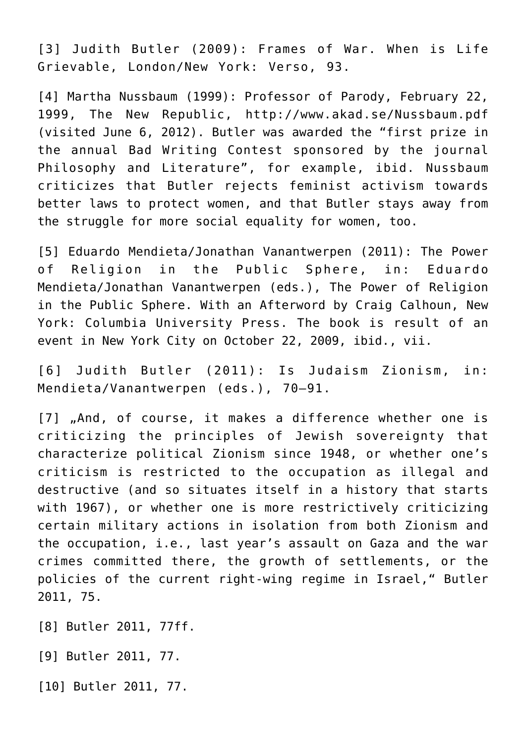[\[3\]](#page--1-0) Judith Butler (2009): Frames of War. When is Life Grievable, London/New York: Verso, 93.

[\[4\]](#page--1-0) Martha Nussbaum (1999): Professor of Parody, February 22, 1999, The New Republic, http://www.akad.se/Nussbaum.pdf (visited June 6, 2012). Butler was awarded the "first prize in the annual Bad Writing Contest sponsored by the journal Philosophy and Literature", for example, ibid. Nussbaum criticizes that Butler rejects feminist activism towards better laws to protect women, and that Butler stays away from the struggle for more social equality for women, too.

[\[5\]](#page--1-0) Eduardo Mendieta/Jonathan Vanantwerpen (2011): The Power of Religion in the Public Sphere, in: Eduardo Mendieta/Jonathan Vanantwerpen (eds.), The Power of Religion in the Public Sphere. With an Afterword by Craig Calhoun, New York: Columbia University Press. The book is result of an event in New York City on October 22, 2009, ibid., vii.

[\[6\]](#page--1-0) Judith Butler (2011): Is Judaism Zionism, in: Mendieta/Vanantwerpen (eds.), 70–91.

[\[7\]](#page--1-0) "And, of course, it makes a difference whether one is criticizing the principles of Jewish sovereignty that characterize political Zionism since 1948, or whether one's criticism is restricted to the occupation as illegal and destructive (and so situates itself in a history that starts with 1967), or whether one is more restrictively criticizing certain military actions in isolation from both Zionism and the occupation, i.e., last year's assault on Gaza and the war crimes committed there, the growth of settlements, or the policies of the current right-wing regime in Israel," Butler 2011, 75.

[\[8\]](#page--1-0) Butler 2011, 77ff.

[\[9\]](#page--1-0) Butler 2011, 77.

[\[10\]](#page--1-0) Butler 2011, 77.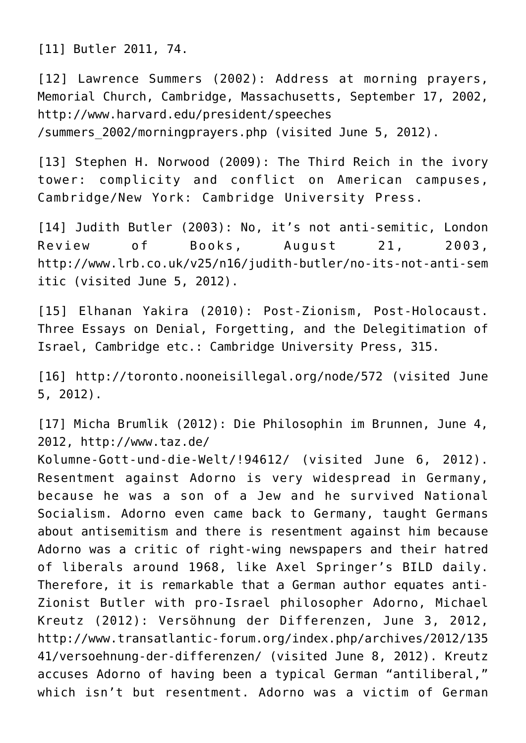[\[11\]](#page--1-0) Butler 2011, 74.

[\[12\]](#page--1-0) Lawrence Summers (2002): Address at morning prayers, Memorial Church, Cambridge, Massachusetts, September 17, 2002, http://www.harvard.edu/president/speeches /summers\_2002/morningprayers.php (visited June 5, 2012).

[\[13\]](#page--1-0) Stephen H. Norwood (2009): The Third Reich in the ivory tower: complicity and conflict on American campuses, Cambridge/New York: Cambridge University Press.

[\[14\]](#page--1-0) Judith Butler (2003): No, it's not anti-semitic, London Review of Books, August 21, 2003, http://www.lrb.co.uk/v25/n16/judith-butler/no-its-not-anti-sem itic (visited June 5, 2012).

[\[15\]](#page--1-0) Elhanan Yakira (2010): Post-Zionism, Post-Holocaust. Three Essays on Denial, Forgetting, and the Delegitimation of Israel, Cambridge etc.: Cambridge University Press, 315.

[\[16\]](#page--1-0) http://toronto.nooneisillegal.org/node/572 (visited June 5, 2012).

[\[17\]](#page--1-0) Micha Brumlik (2012): Die Philosophin im Brunnen, June 4, 2012, http://www.taz.de/

Kolumne-Gott-und-die-Welt/!94612/ (visited June 6, 2012). Resentment against Adorno is very widespread in Germany, because he was a son of a Jew and he survived National Socialism. Adorno even came back to Germany, taught Germans about antisemitism and there is resentment against him because Adorno was a critic of right-wing newspapers and their hatred of liberals around 1968, like Axel Springer's BILD daily. Therefore, it is remarkable that a German author equates anti-Zionist Butler with pro-Israel philosopher Adorno, Michael Kreutz (2012): Versöhnung der Differenzen, June 3, 2012, http://www.transatlantic-forum.org/index.php/archives/2012/135 41/versoehnung-der-differenzen/ (visited June 8, 2012). Kreutz accuses Adorno of having been a typical German "antiliberal," which isn't but resentment. Adorno was a victim of German